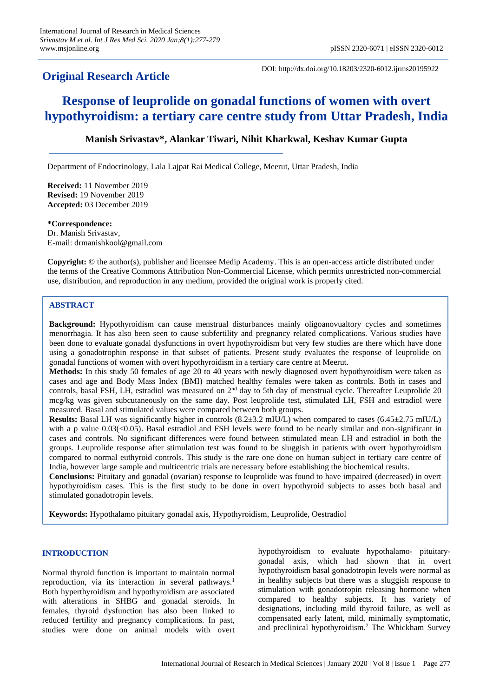# **Original Research Article**

DOI: http://dx.doi.org/10.18203/2320-6012.ijrms20195922

# **Response of leuprolide on gonadal functions of women with overt hypothyroidism: a tertiary care centre study from Uttar Pradesh, India**

## **Manish Srivastav\*, Alankar Tiwari, Nihit Kharkwal, Keshav Kumar Gupta**

Department of Endocrinology, Lala Lajpat Rai Medical College, Meerut, Uttar Pradesh, India

**Received:** 11 November 2019 **Revised:** 19 November 2019 **Accepted:** 03 December 2019

**\*Correspondence:** Dr. Manish Srivastav, E-mail: drmanishkool@gmail.com

**Copyright:** © the author(s), publisher and licensee Medip Academy. This is an open-access article distributed under the terms of the Creative Commons Attribution Non-Commercial License, which permits unrestricted non-commercial use, distribution, and reproduction in any medium, provided the original work is properly cited.

### **ABSTRACT**

**Background:** Hypothyroidism can cause menstrual disturbances mainly oligoanovualtory cycles and sometimes menorrhagia. It has also been seen to cause subfertility and pregnancy related complications. Various studies have been done to evaluate gonadal dysfunctions in overt hypothyroidism but very few studies are there which have done using a gonadotrophin response in that subset of patients. Present study evaluates the response of leuprolide on gonadal functions of women with overt hypothyroidism in a tertiary care centre at Meerut.

**Methods:** In this study 50 females of age 20 to 40 years with newly diagnosed overt hypothyroidism were taken as cases and age and Body Mass Index (BMI) matched healthy females were taken as controls. Both in cases and controls, basal FSH, LH, estradiol was measured on 2<sup>nd</sup> day to 5th day of menstrual cycle. Thereafter Leuprolide 20 mcg/kg was given subcutaneously on the same day. Post leuprolide test, stimulated LH, FSH and estradiol were measured. Basal and stimulated values were compared between both groups.

**Results:** Basal LH was significantly higher in controls (8.2±3.2 mIU/L) when compared to cases (6.45±2.75 mIU/L) with a p value 0.03(<0.05). Basal estradiol and FSH levels were found to be nearly similar and non-significant in cases and controls. No significant differences were found between stimulated mean LH and estradiol in both the groups. Leuprolide response after stimulation test was found to be sluggish in patients with overt hypothyroidism compared to normal euthyroid controls. This study is the rare one done on human subject in tertiary care centre of India, however large sample and multicentric trials are necessary before establishing the biochemical results.

**Conclusions:** Pituitary and gonadal (ovarian) response to leuprolide was found to have impaired (decreased) in overt hypothyroidism cases. This is the first study to be done in overt hypothyroid subjects to asses both basal and stimulated gonadotropin levels.

**Keywords:** Hypothalamo pituitary gonadal axis, Hypothyroidism, Leuprolide, Oestradiol

#### **INTRODUCTION**

Normal thyroid function is important to maintain normal reproduction, via its interaction in several pathways.<sup>1</sup> Both hyperthyroidism and hypothyroidism are associated with alterations in SHBG and gonadal steroids. In females, thyroid dysfunction has also been linked to reduced fertility and pregnancy complications. In past, studies were done on animal models with overt hypothyroidism to evaluate hypothalamo- pituitarygonadal axis, which had shown that in overt hypothyroidism basal gonadotropin levels were normal as in healthy subjects but there was a sluggish response to stimulation with gonadotropin releasing hormone when compared to healthy subjects. It has variety of designations, including mild thyroid failure, as well as compensated early latent, mild, minimally symptomatic, and preclinical hypothyroidism.<sup>2</sup> The Whickham Survey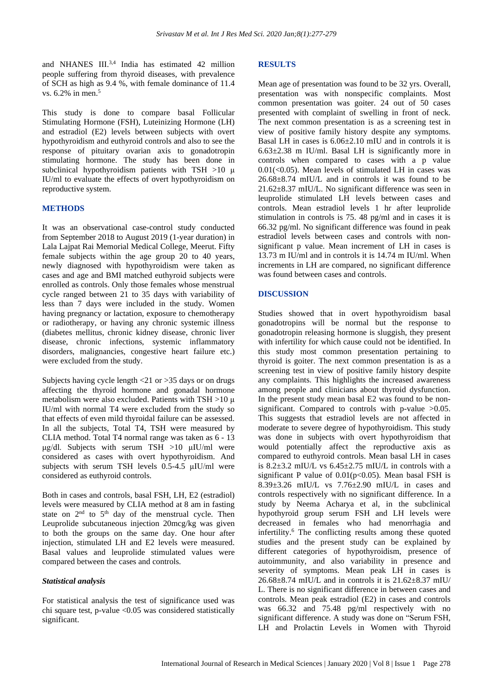and NHANES III.<sup>3,4</sup> India has estimated 42 million people suffering from thyroid diseases, with prevalence of SCH as high as 9.4 %, with female dominance of 11.4 vs. 6.2% in men.<sup>5</sup>

This study is done to compare basal Follicular Stimulating Hormone (FSH), Luteinizing Hormone (LH) and estradiol (E2) levels between subjects with overt hypothyroidism and euthyroid controls and also to see the response of pituitary ovarian axis to gonadotropin stimulating hormone. The study has been done in subclinical hypothyroidism patients with TSH >10 μ IU/ml to evaluate the effects of overt hypothyroidism on reproductive system.

#### **METHODS**

It was an observational case-control study conducted from September 2018 to August 2019 (1-year duration) in Lala Lajpat Rai Memorial Medical College, Meerut. Fifty female subjects within the age group 20 to 40 years, newly diagnosed with hypothyroidism were taken as cases and age and BMI matched euthyroid subjects were enrolled as controls. Only those females whose menstrual cycle ranged between 21 to 35 days with variability of less than 7 days were included in the study. Women having pregnancy or lactation, exposure to chemotherapy or radiotherapy, or having any chronic systemic illness (diabetes mellitus, chronic kidney disease, chronic liver disease, chronic infections, systemic inflammatory disorders, malignancies, congestive heart failure etc.) were excluded from the study.

Subjects having cycle length <21 or >35 days or on drugs affecting the thyroid hormone and gonadal hormone metabolism were also excluded. Patients with TSH >10 μ IU/ml with normal T4 were excluded from the study so that effects of even mild thyroidal failure can be assessed. In all the subjects, Total T4, TSH were measured by CLIA method. Total T4 normal range was taken as 6 - 13 μg/dl. Subjects with serum TSH >10 μIU/ml were considered as cases with overt hypothyroidism. And subjects with serum TSH levels  $0.5-4.5$   $\mu$ IU/ml were considered as euthyroid controls.

Both in cases and controls, basal FSH, LH, E2 (estradiol) levels were measured by CLIA method at 8 am in fasting state on  $2<sup>nd</sup>$  to  $5<sup>th</sup>$  day of the menstrual cycle. Then Leuprolide subcutaneous injection 20mcg/kg was given to both the groups on the same day. One hour after injection, stimulated LH and E2 levels were measured. Basal values and leuprolide stimulated values were compared between the cases and controls.

#### *Statistical analysis*

For statistical analysis the test of significance used was chi square test, p-value <0.05 was considered statistically significant.

#### **RESULTS**

Mean age of presentation was found to be 32 yrs. Overall, presentation was with nonspecific complaints. Most common presentation was goiter. 24 out of 50 cases presented with complaint of swelling in front of neck. The next common presentation is as a screening test in view of positive family history despite any symptoms. Basal LH in cases is 6.06±2.10 mIU and in controls it is  $6.63\pm2.38$  m IU/ml. Basal LH is significantly more in controls when compared to cases with a p value  $0.01 \times 0.05$ ). Mean levels of stimulated LH in cases was 26.68±8.74 mIU/L and in controls it was found to be 21.62±8.37 mIU/L. No significant difference was seen in leuprolide stimulated LH levels between cases and controls. Mean estradiol levels 1 hr after leuprolide stimulation in controls is 75. 48 pg/ml and in cases it is 66.32 pg/ml. No significant difference was found in peak estradiol levels between cases and controls with nonsignificant p value. Mean increment of LH in cases is 13.73 m IU/ml and in controls it is 14.74 m IU/ml. When increments in LH are compared, no significant difference was found between cases and controls.

#### **DISCUSSION**

Studies showed that in overt hypothyroidism basal gonadotropins will be normal but the response to gonadotropin releasing hormone is sluggish, they present with infertility for which cause could not be identified. In this study most common presentation pertaining to thyroid is goiter. The next common presentation is as a screening test in view of positive family history despite any complaints. This highlights the increased awareness among people and clinicians about thyroid dysfunction. In the present study mean basal E2 was found to be nonsignificant. Compared to controls with p-value  $>0.05$ . This suggests that estradiol levels are not affected in moderate to severe degree of hypothyroidism. This study was done in subjects with overt hypothyroidism that would potentially affect the reproductive axis as compared to euthyroid controls. Mean basal LH in cases is 8.2±3.2 mIU/L vs 6.45±2.75 mIU/L in controls with a significant P value of  $0.01(p<0.05)$ . Mean basal FSH is 8.39±3.26 mIU/L vs 7.76±2.90 mIU/L in cases and controls respectively with no significant difference. In a study by Neema Acharya et al, in the subclinical hypothyroid group serum FSH and LH levels were decreased in females who had menorrhagia and infertility.<sup>6</sup> The conflicting results among these quoted studies and the present study can be explained by different categories of hypothyroidism, presence of autoimmunity, and also variability in presence and severity of symptoms. Mean peak LH in cases is  $26.68\pm8.74$  mIU/L and in controls it is  $21.62\pm8.37$  mIU/ L. There is no significant difference in between cases and controls. Mean peak estradiol (E2) in cases and controls was 66.32 and 75.48 pg/ml respectively with no significant difference. A study was done on "Serum FSH, LH and Prolactin Levels in Women with Thyroid